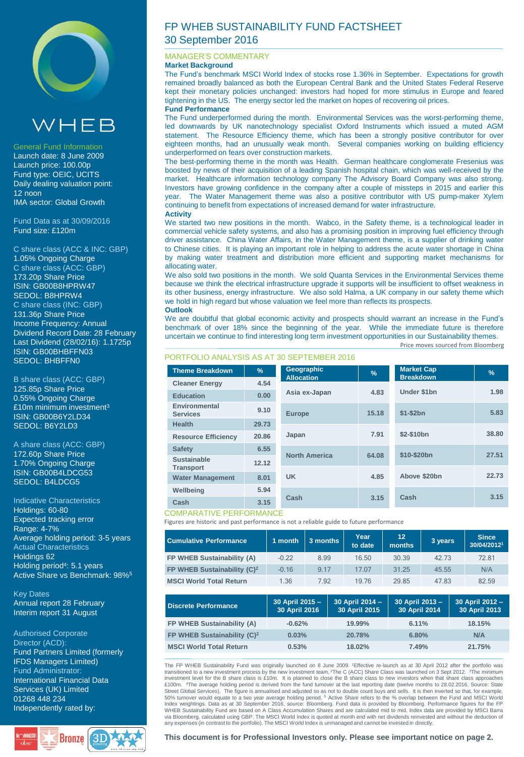

# $VHEB$

#### General Fund Information

Launch date: 8 June 2009 Launch price: 100.00p Fund type: OEIC, UCITS Daily dealing valuation point: 12 noon IMA sector: Global Growth

Fund Data as at 30/09/2016 Fund size: £120m

C share class (ACC & INC: GBP) 1.05% Ongoing Charge C share class (ACC: GBP) 173.20p Share Price ISIN: GB00B8HPRW47 SEDOL: B8HPRW4 C share class (INC: GBP) 131.36p Share Price Income Frequency: Annual Dividend Record Date: 28 February Last Dividend (28/02/16): 1.1725p ISIN: GB00BHBFFN03 SEDOL: BHBFFN0

B share class (ACC: GBP) 125.85p Share Price 0.55% Ongoing Charge £10m minimum investment<sup>3</sup> ISIN: GB00B6Y2LD34 SEDOL: B6Y2LD3

A share class (ACC: GBP) 172.60p Share Price 1.70% Ongoing Charge ISIN: GB00B4LDCG53 SEDOL: B4LDCG5

Indicative Characteristics Holdings: 60-80 Expected tracking error Range: 4-7% Average holding period: 3-5 years Actual Characteristics Holdings 62 Holding period<sup>4</sup>: 5.1 years Active Share vs Benchmark: 98%<sup>5</sup>

Key Dates Annual report 28 February Interim report 31 August

Authorised Corporate Director (ACD): Fund Partners Limited (formerly IFDS Managers Limited) Fund Administrator: International Financial Data Services (UK) Limited 01268 448 234 Independently rated by:



# FP WHEB SUSTAINABILITY FUND FACTSHEET 30 September 2016

### MANAGER'S COMMENTARY

**Market Background**

The Fund's benchmark MSCI World Index of stocks rose 1.36% in September. Expectations for growth remained broadly balanced as both the European Central Bank and the United States Federal Reserve kept their monetary policies unchanged: investors had hoped for more stimulus in Europe and feared tightening in the US. The energy sector led the market on hopes of recovering oil prices. **Fund Performance**

The Fund underperformed during the month. Environmental Services was the worst-performing theme, led downwards by UK nanotechnology specialist Oxford Instruments which issued a muted AGM statement. The Resource Efficiency theme, which has been a strongly positive contributor for over eighteen months, had an unusually weak month. Several companies working on building efficiency underperformed on fears over construction markets.

The best-performing theme in the month was Health. German healthcare conglomerate Fresenius was boosted by news of their acquisition of a leading Spanish hospital chain, which was well-received by the market. Healthcare information technology company The Advisory Board Company was also strong. Investors have growing confidence in the company after a couple of missteps in 2015 and earlier this year. The Water Management theme was also a positive contributor with US pump-maker Xylem continuing to benefit from expectations of increased demand for water infrastructure. **Activity**

We started two new positions in the month. Wabco, in the Safety theme, is a technological leader in commercial vehicle safety systems, and also has a promising position in improving fuel efficiency through driver assistance. China Water Affairs, in the Water Management theme, is a supplier of drinking water to Chinese cities. It is playing an important role in helping to address the acute water shortage in China by making water treatment and distribution more efficient and supporting market mechanisms for allocating water.

We also sold two positions in the month. We sold Quanta Services in the Environmental Services theme because we think the electrical infrastructure upgrade it supports will be insufficient to offset weakness in its other business, energy infrastructure. We also sold Halma, a UK company in our safety theme which we hold in high regard but whose valuation we feel more than reflects its prospects. **Outlook**

Price moves sourced from Bloomberg We are doubtful that global economic activity and prospects should warrant an increase in the Fund's benchmark of over 18% since the beginning of the year. While the immediate future is therefore uncertain we continue to find interesting long term investment opportunities in our Sustainability themes.

# PORTFOLIO ANALYSIS AS AT 30 SEPTEMBER 2016

| <b>Theme Breakdown</b>           | $\frac{9}{6}$ | Geographic<br><b>Allocation</b> | $\frac{9}{6}$ | <b>Market Cap</b><br><b>Breakdown</b> | $\frac{9}{6}$ |
|----------------------------------|---------------|---------------------------------|---------------|---------------------------------------|---------------|
| <b>Cleaner Energy</b>            | 4.54          |                                 |               |                                       |               |
| Education                        | 0.00          | Asia ex-Japan                   | 4.83          | Under \$1bn                           | 1.98          |
| Environmental<br><b>Services</b> | 9.10          | <b>Europe</b>                   | 15.18         | $$1-\$2bn$                            | 5.83          |
| <b>Health</b>                    | 29.73         |                                 |               |                                       |               |
| <b>Resource Efficiency</b>       | 20.86         | Japan                           | 7.91          | \$2-\$10bn                            | 38.80         |
| <b>Safety</b>                    | 6.55          |                                 |               | \$10-\$20bn                           | 27.51         |
| <b>Sustainable</b>               | 12.12         | <b>North America</b>            | 64.08         |                                       |               |
| <b>Transport</b>                 |               |                                 |               | Above \$20bn                          | 22.73         |
| <b>Water Management</b>          | 8.01          | <b>UK</b>                       | 4.85          |                                       |               |
| Wellbeing                        | 5.94          |                                 |               |                                       |               |
| Cash                             | 3.15          | Cash                            | 3.15          | Cash                                  | 3.15          |

### COMPARATIVE PERFORMANCE

Figures are historic and past performance is not a reliable guide to future performance

| <b>Cumulative Performance</b>           | 1 month | 3 months | Year<br>to date | 12 <sup>°</sup><br>months | 3 years | <b>Since</b><br>30/04/20121 |
|-----------------------------------------|---------|----------|-----------------|---------------------------|---------|-----------------------------|
| FP WHEB Sustainability (A)              | $-0.22$ | 8.99     | 16.50           | 30.39                     | 42.73   | 72.81                       |
| FP WHEB Sustainability (C) <sup>2</sup> | $-0.16$ | 9 1 7    | 17.07           | 31.25                     | 45.55   | N/A                         |
| <b>MSCI World Total Return</b>          | 1.36    | 7.92     | 19.76           | 29.85                     | 47.83   | 82.59                       |

| Discrete Performance                    | 30 April 2015 -<br>30 April 2016 | 30 April 2014 -<br>30 April 2015 | 30 April 2013 -<br>30 April 2014 | 30 April 2012 -<br>30 April 2013 |
|-----------------------------------------|----------------------------------|----------------------------------|----------------------------------|----------------------------------|
| FP WHEB Sustainability (A)              | $-0.62%$                         | 19.99%                           | 6.11%                            | 18.15%                           |
| FP WHEB Sustainability (C) <sup>2</sup> | 0.03%                            | 20.78%                           | 6.80%                            | N/A                              |
| <b>MSCI World Total Return</b>          | 0.53%                            | 18.02%                           | 7.49%                            | 21.75%                           |

The FP WHEB Sustainability Fund was originally launched on 8 June 2009. <sup>1</sup>Effective re-launch as at 30 April 2012 after the portfolio was transitioned to a new investment process by the new investment team. <sup>2</sup>The C (ACC) Share Class was launched on 3 Sept 2012. <sup>3</sup>The minimum investment level for the B share class is £10m. It is planned to close the B share class to new investors when that share class approaches<br>£100m. "The average holding period is derived from the fund turnover at the last re Street Global Services). The figure is annualised and adjusted so as not to double count buys and sells. It is then inverted so that, for example,<br>50% turnover would equate to a two year average holding period. <sup>5</sup> Active WHEB Sustainability Fund are based on A Class Accumulation Shares and are calculated mid to mid. Index data are provided by MSCI Barra<br>via Bloomberg, calculated using GBP. The MSCI World Index is quoted at month end with n any expenses (in contrast to the portfolio). The MSCI World Index is unmanaged and cannot be invested in directly.

**This document is for Professional Investors only. Please see important notice on page 2.**